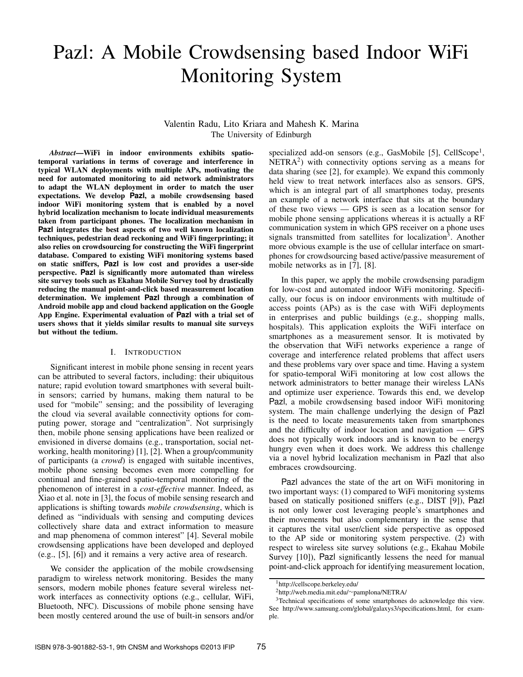# Pazl: A Mobile Crowdsensing based Indoor WiFi Monitoring System

# Valentin Radu, Lito Kriara and Mahesh K. Marina The University of Edinburgh

*Abstract*—WiFi in indoor environments exhibits spatiotemporal variations in terms of coverage and interference in typical WLAN deployments with multiple APs, motivating the need for automated monitoring to aid network administrators to adapt the WLAN deployment in order to match the user expectations. We develop **Pazl**, a mobile crowdsensing based indoor WiFi monitoring system that is enabled by a novel hybrid localization mechanism to locate individual measurements taken from participant phones. The localization mechanism in **Pazl** integrates the best aspects of two well known localization techniques, pedestrian dead reckoning and WiFi fingerprinting; it also relies on crowdsourcing for constructing the WiFi fingerprint database. Compared to existing WiFi monitoring systems based on static sniffers, **Pazl** is low cost and provides a user-side perspective. **Pazl** is significantly more automated than wireless site survey tools such as Ekahau Mobile Survey tool by drastically reducing the manual point-and-click based measurement location determination. We implement **Pazl** through a combination of Android mobile app and cloud backend application on the Google App Engine. Experimental evaluation of **Pazl** with a trial set of users shows that it yields similar results to manual site surveys but without the tedium.

## I. INTRODUCTION

Significant interest in mobile phone sensing in recent years can be attributed to several factors, including: their ubiquitous nature; rapid evolution toward smartphones with several builtin sensors; carried by humans, making them natural to be used for "mobile" sensing; and the possibility of leveraging the cloud via several available connectivity options for computing power, storage and "centralization". Not surprisingly then, mobile phone sensing applications have been realized or envisioned in diverse domains (e.g., transportation, social networking, health monitoring) [1], [2]. When a group/community of participants (a *crowd*) is engaged with suitable incentives, mobile phone sensing becomes even more compelling for continual and fine-grained spatio-temporal monitoring of the phenomenon of interest in a *cost-effective* manner. Indeed, as Xiao et al. note in [3], the focus of mobile sensing research and applications is shifting towards *mobile crowdsensing*, which is defined as "individuals with sensing and computing devices collectively share data and extract information to measure and map phenomena of common interest" [4]. Several mobile crowdsensing applications have been developed and deployed (e.g., [5], [6]) and it remains a very active area of research.

We consider the application of the mobile crowdsensing paradigm to wireless network monitoring. Besides the many sensors, modern mobile phones feature several wireless network interfaces as connectivity options (e.g., cellular, WiFi, Bluetooth, NFC). Discussions of mobile phone sensing have been mostly centered around the use of built-in sensors and/or

specialized add-on sensors (e.g., GasMobile [5], CellScope<sup>1</sup>,  $NETRA<sup>2</sup>$ ) with connectivity options serving as a means for data sharing (see [2], for example). We expand this commonly held view to treat network interfaces also as sensors. GPS, which is an integral part of all smartphones today, presents an example of a network interface that sits at the boundary of these two views — GPS is seen as a location sensor for mobile phone sensing applications whereas it is actually a RF communication system in which GPS receiver on a phone uses signals transmitted from satellites for localization<sup>3</sup>. Another more obvious example is the use of cellular interface on smartphones for crowdsourcing based active/passive measurement of mobile networks as in [7], [8].

In this paper, we apply the mobile crowdsensing paradigm for low-cost and automated indoor WiFi monitoring. Specifically, our focus is on indoor environments with multitude of access points (APs) as is the case with WiFi deployments in enterprises and public buildings (e.g., shopping malls, hospitals). This application exploits the WiFi interface on smartphones as a measurement sensor. It is motivated by the observation that WiFi networks experience a range of coverage and interference related problems that affect users and these problems vary over space and time. Having a system for spatio-temporal WiFi monitoring at low cost allows the network administrators to better manage their wireless LANs and optimize user experience. Towards this end, we develop Pazl, a mobile crowdsensing based indoor WiFi monitoring system. The main challenge underlying the design of Pazl is the need to locate measurements taken from smartphones and the difficulty of indoor location and navigation — GPS does not typically work indoors and is known to be energy hungry even when it does work. We address this challenge via a novel hybrid localization mechanism in Pazl that also embraces crowdsourcing.

Pazl advances the state of the art on WiFi monitoring in two important ways: (1) compared to WiFi monitoring systems based on statically positioned sniffers (e.g., DIST [9]), Pazl is not only lower cost leveraging people's smartphones and their movements but also complementary in the sense that it captures the vital user/client side perspective as opposed to the AP side or monitoring system perspective. (2) with respect to wireless site survey solutions (e.g., Ekahau Mobile Survey [10]), Pazl significantly lessens the need for manual point-and-click approach for identifying measurement location,

<sup>1</sup>http://cellscope.berkeley.edu/

<sup>2</sup>http://web.media.mit.edu/∼pamplona/NETRA/

<sup>3</sup>Technical specifications of some smartphones do acknowledge this view. See http://www.samsung.com/global/galaxys3/specifications.html, for example.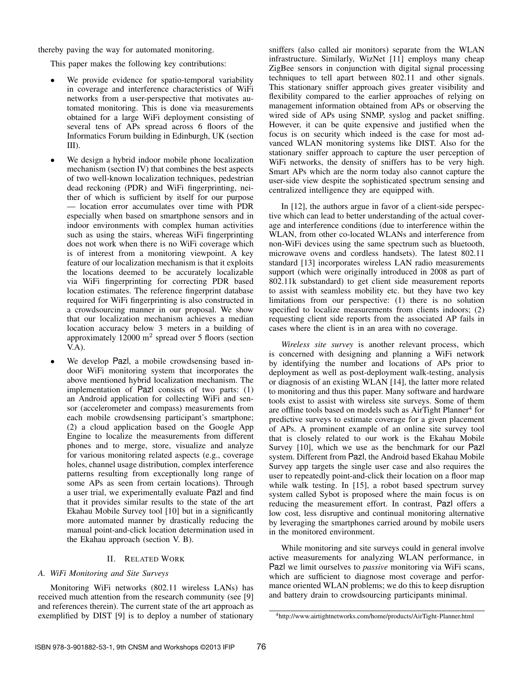thereby paving the way for automated monitoring.

This paper makes the following key contributions:

- We provide evidence for spatio-temporal variability in coverage and interference characteristics of WiFi networks from a user-perspective that motivates automated monitoring. This is done via measurements obtained for a large WiFi deployment consisting of several tens of APs spread across 6 floors of the Informatics Forum building in Edinburgh, UK (section III).
- We design a hybrid indoor mobile phone localization mechanism (section IV) that combines the best aspects of two well-known localization techniques, pedestrian dead reckoning (PDR) and WiFi fingerprinting, neither of which is sufficient by itself for our purpose — location error accumulates over time with PDR especially when based on smartphone sensors and in indoor environments with complex human activities such as using the stairs, whereas WiFi fingerprinting does not work when there is no WiFi coverage which is of interest from a monitoring viewpoint. A key feature of our localization mechanism is that it exploits the locations deemed to be accurately localizable via WiFi fingerprinting for correcting PDR based location estimates. The reference fingerprint database required for WiFi fingerprinting is also constructed in a crowdsourcing manner in our proposal. We show that our localization mechanism achieves a median location accuracy below 3 meters in a building of approximately  $12000 \text{ m}^2$  spread over 5 floors (section V.A).
- We develop Pazl, a mobile crowdsensing based indoor WiFi monitoring system that incorporates the above mentioned hybrid localization mechanism. The implementation of Pazl consists of two parts: (1) an Android application for collecting WiFi and sensor (accelerometer and compass) measurements from each mobile crowdsensing participant's smartphone; (2) a cloud application based on the Google App Engine to localize the measurements from different phones and to merge, store, visualize and analyze for various monitoring related aspects (e.g., coverage holes, channel usage distribution, complex interference patterns resulting from exceptionally long range of some APs as seen from certain locations). Through a user trial, we experimentally evaluate Pazl and find that it provides similar results to the state of the art Ekahau Mobile Survey tool [10] but in a significantly more automated manner by drastically reducing the manual point-and-click location determination used in the Ekahau approach (section V. B).

## II. RELATED WORK

# *A. WiFi Monitoring and Site Surveys*

Monitoring WiFi networks (802.11 wireless LANs) has received much attention from the research community (see [9] and references therein). The current state of the art approach as exemplified by DIST [9] is to deploy a number of stationary sniffers (also called air monitors) separate from the WLAN infrastructure. Similarly, WizNet [11] employs many cheap ZigBee sensors in conjunction with digital signal processing techniques to tell apart between 802.11 and other signals. This stationary sniffer approach gives greater visibility and flexibility compared to the earlier approaches of relying on management information obtained from APs or observing the wired side of APs using SNMP, syslog and packet sniffing. However, it can be quite expensive and justified when the focus is on security which indeed is the case for most advanced WLAN monitoring systems like DIST. Also for the stationary sniffer approach to capture the user perception of WiFi networks, the density of sniffers has to be very high. Smart APs which are the norm today also cannot capture the user-side view despite the sophisticated spectrum sensing and centralized intelligence they are equipped with.

In [12], the authors argue in favor of a client-side perspective which can lead to better understanding of the actual coverage and interference conditions (due to interference within the WLAN, from other co-located WLANs and interference from non-WiFi devices using the same spectrum such as bluetooth, microwave ovens and cordless handsets). The latest 802.11 standard [13] incorporates wireless LAN radio measurements support (which were originally introduced in 2008 as part of 802.11k substandard) to get client side measurement reports to assist with seamless mobility etc. but they have two key limitations from our perspective: (1) there is no solution specified to localize measurements from clients indoors; (2) requesting client side reports from the associated AP fails in cases where the client is in an area with no coverage.

*Wireless site survey* is another relevant process, which is concerned with designing and planning a WiFi network by identifying the number and locations of APs prior to deployment as well as post-deployment walk-testing, analysis or diagnosis of an existing WLAN [14], the latter more related to monitoring and thus this paper. Many software and hardware tools exist to assist with wireless site surveys. Some of them are offline tools based on models such as AirTight Planner<sup>4</sup> for predictive surveys to estimate coverage for a given placement of APs. A prominent example of an online site survey tool that is closely related to our work is the Ekahau Mobile Survey [10], which we use as the benchmark for our Pazl system. Different from Pazl, the Android based Ekahau Mobile Survey app targets the single user case and also requires the user to repeatedly point-and-click their location on a floor map while walk testing. In [15], a robot based spectrum survey system called Sybot is proposed where the main focus is on reducing the measurement effort. In contrast, Pazl offers a low cost, less disruptive and continual monitoring alternative by leveraging the smartphones carried around by mobile users in the monitored environment.

While monitoring and site surveys could in general involve active measurements for analyzing WLAN performance, in Pazl we limit ourselves to *passive* monitoring via WiFi scans, which are sufficient to diagnose most coverage and performance oriented WLAN problems; we do this to keep disruption and battery drain to crowdsourcing participants minimal.

<sup>4</sup>http://www.airtightnetworks.com/home/products/AirTight-Planner.html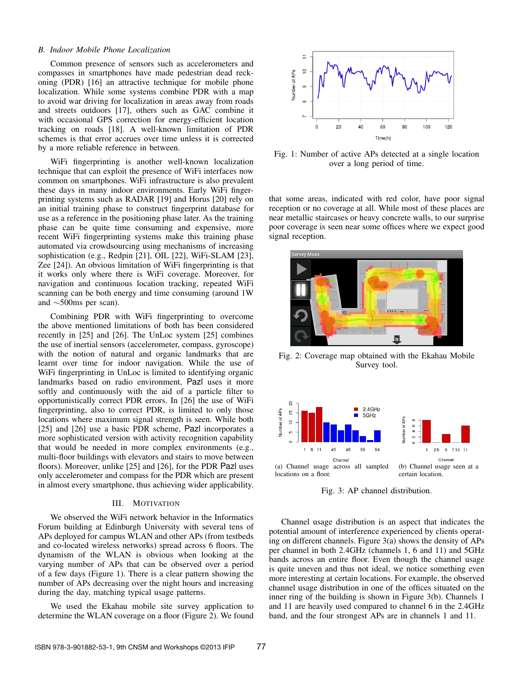#### *B. Indoor Mobile Phone Localization*

Common presence of sensors such as accelerometers and compasses in smartphones have made pedestrian dead reckoning (PDR) [16] an attractive technique for mobile phone localization. While some systems combine PDR with a map to avoid war driving for localization in areas away from roads and streets outdoors [17], others such as GAC combine it with occasional GPS correction for energy-efficient location tracking on roads [18]. A well-known limitation of PDR schemes is that error accrues over time unless it is corrected by a more reliable reference in between.

WiFi fingerprinting is another well-known localization technique that can exploit the presence of WiFi interfaces now common on smartphones. WiFi infrastructure is also prevalent these days in many indoor environments. Early WiFi fingerprinting systems such as RADAR [19] and Horus [20] rely on an initial training phase to construct fingerprint database for use as a reference in the positioning phase later. As the training phase can be quite time consuming and expensive, more recent WiFi fingerprinting systems make this training phase automated via crowdsourcing using mechanisms of increasing sophistication (e.g., Redpin [21], OIL [22], WiFi-SLAM [23], Zee [24]). An obvious limitation of WiFi fingerprinting is that it works only where there is WiFi coverage. Moreover, for navigation and continuous location tracking, repeated WiFi scanning can be both energy and time consuming (around 1W and ∼500ms per scan).

Combining PDR with WiFi fingerprinting to overcome the above mentioned limitations of both has been considered recently in [25] and [26]. The UnLoc system [25] combines the use of inertial sensors (accelerometer, compass, gyroscope) with the notion of natural and organic landmarks that are learnt over time for indoor navigation. While the use of WiFi fingerprinting in UnLoc is limited to identifying organic landmarks based on radio environment, Pazl uses it more softly and continuously with the aid of a particle filter to opportunistically correct PDR errors. In [26] the use of WiFi fingerprinting, also to correct PDR, is limited to only those locations where maximum signal strength is seen. While both [25] and [26] use a basic PDR scheme, Pazl incorporates a more sophisticated version with activity recognition capability that would be needed in more complex environments (e.g., multi-floor buildings with elevators and stairs to move between floors). Moreover, unlike [25] and [26], for the PDR Pazl uses only accelerometer and compass for the PDR which are present in almost every smartphone, thus achieving wider applicability.

# III. MOTIVATION

We observed the WiFi network behavior in the Informatics Forum building at Edinburgh University with several tens of APs deployed for campus WLAN and other APs (from testbeds and co-located wireless networks) spread across 6 floors. The dynamism of the WLAN is obvious when looking at the varying number of APs that can be observed over a period of a few days (Figure 1). There is a clear pattern showing the number of APs decreasing over the night hours and increasing during the day, matching typical usage patterns.

We used the Ekahau mobile site survey application to determine the WLAN coverage on a floor (Figure 2). We found



Fig. 1: Number of active APs detected at a single location over a long period of time.

that some areas, indicated with red color, have poor signal reception or no coverage at all. While most of these places are near metallic staircases or heavy concrete walls, to our surprise poor coverage is seen near some offices where we expect good signal reception.



Fig. 2: Coverage map obtained with the Ekahau Mobile Survey tool.



Fig. 3: AP channel distribution.

Channel usage distribution is an aspect that indicates the potential amount of interference experienced by clients operating on different channels. Figure 3(a) shows the density of APs per channel in both 2.4GHz (channels 1, 6 and 11) and 5GHz bands across an entire floor. Even though the channel usage is quite uneven and thus not ideal, we notice something even more interesting at certain locations. For example, the observed channel usage distribution in one of the offices situated on the inner ring of the building is shown in Figure 3(b). Channels 1 and 11 are heavily used compared to channel 6 in the 2.4GHz band, and the four strongest APs are in channels 1 and 11.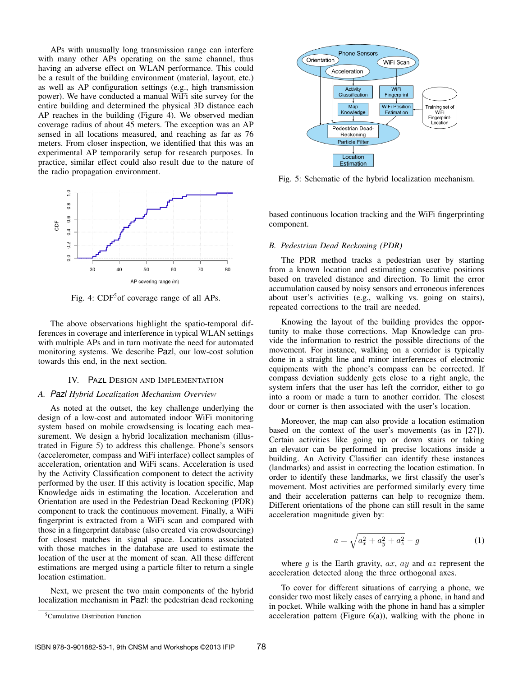APs with unusually long transmission range can interfere with many other APs operating on the same channel, thus having an adverse effect on WLAN performance. This could be a result of the building environment (material, layout, etc.) as well as AP configuration settings (e.g., high transmission power). We have conducted a manual WiFi site survey for the entire building and determined the physical 3D distance each AP reaches in the building (Figure 4). We observed median coverage radius of about 45 meters. The exception was an AP sensed in all locations measured, and reaching as far as 76 meters. From closer inspection, we identified that this was an experimental AP temporarily setup for research purposes. In practice, similar effect could also result due to the nature of the radio propagation environment.



Fig. 4:  $CDF<sup>5</sup>$  of coverage range of all APs.

The above observations highlight the spatio-temporal differences in coverage and interference in typical WLAN settings with multiple APs and in turn motivate the need for automated monitoring systems. We describe Pazl, our low-cost solution towards this end, in the next section.

## IV. PAZL DESIGN AND IMPLEMENTATION

# *A. Pazl Hybrid Localization Mechanism Overview*

As noted at the outset, the key challenge underlying the design of a low-cost and automated indoor WiFi monitoring system based on mobile crowdsensing is locating each measurement. We design a hybrid localization mechanism (illustrated in Figure 5) to address this challenge. Phone's sensors (accelerometer, compass and WiFi interface) collect samples of acceleration, orientation and WiFi scans. Acceleration is used by the Activity Classification component to detect the activity performed by the user. If this activity is location specific, Map Knowledge aids in estimating the location. Acceleration and Orientation are used in the Pedestrian Dead Reckoning (PDR) component to track the continuous movement. Finally, a WiFi fingerprint is extracted from a WiFi scan and compared with those in a fingerprint database (also created via crowdsourcing) for closest matches in signal space. Locations associated with those matches in the database are used to estimate the location of the user at the moment of scan. All these different estimations are merged using a particle filter to return a single location estimation.

Next, we present the two main components of the hybrid localization mechanism in Pazl: the pedestrian dead reckoning



Fig. 5: Schematic of the hybrid localization mechanism.

based continuous location tracking and the WiFi fingerprinting component.

#### *B. Pedestrian Dead Reckoning (PDR)*

The PDR method tracks a pedestrian user by starting from a known location and estimating consecutive positions based on traveled distance and direction. To limit the error accumulation caused by noisy sensors and erroneous inferences about user's activities (e.g., walking vs. going on stairs), repeated corrections to the trail are needed.

Knowing the layout of the building provides the opportunity to make those corrections. Map Knowledge can provide the information to restrict the possible directions of the movement. For instance, walking on a corridor is typically done in a straight line and minor interferences of electronic equipments with the phone's compass can be corrected. If compass deviation suddenly gets close to a right angle, the system infers that the user has left the corridor, either to go into a room or made a turn to another corridor. The closest door or corner is then associated with the user's location.

Moreover, the map can also provide a location estimation based on the context of the user's movements (as in [27]). Certain activities like going up or down stairs or taking an elevator can be performed in precise locations inside a building. An Activity Classifier can identify these instances (landmarks) and assist in correcting the location estimation. In order to identify these landmarks, we first classify the user's movement. Most activities are performed similarly every time and their acceleration patterns can help to recognize them. Different orientations of the phone can still result in the same acceleration magnitude given by:

$$
a = \sqrt{a_x^2 + a_y^2 + a_z^2} - g \tag{1}
$$

where  $q$  is the Earth gravity,  $ax$ ,  $ay$  and  $az$  represent the acceleration detected along the three orthogonal axes.

To cover for different situations of carrying a phone, we consider two most likely cases of carrying a phone, in hand and in pocket. While walking with the phone in hand has a simpler acceleration pattern (Figure  $6(a)$ ), walking with the phone in

<sup>5</sup>Cumulative Distribution Function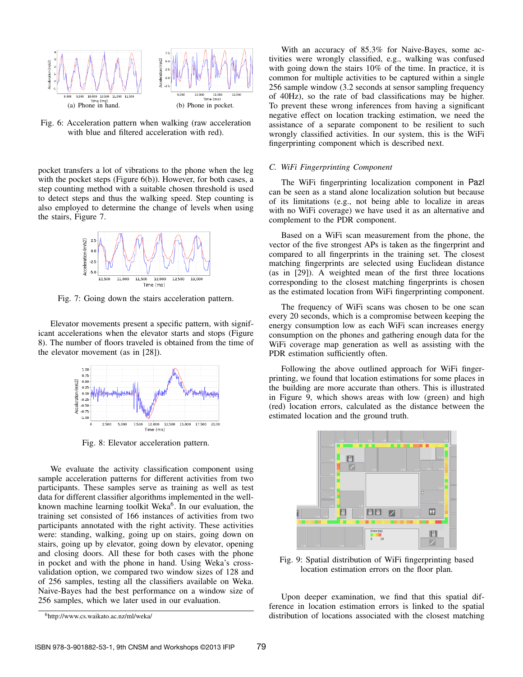

Fig. 6: Acceleration pattern when walking (raw acceleration with blue and filtered acceleration with red).

pocket transfers a lot of vibrations to the phone when the leg with the pocket steps (Figure 6(b)). However, for both cases, a step counting method with a suitable chosen threshold is used to detect steps and thus the walking speed. Step counting is also employed to determine the change of levels when using the stairs, Figure 7.



Fig. 7: Going down the stairs acceleration pattern.

Elevator movements present a specific pattern, with significant accelerations when the elevator starts and stops (Figure 8). The number of floors traveled is obtained from the time of the elevator movement (as in [28]).



Fig. 8: Elevator acceleration pattern.

We evaluate the activity classification component using sample acceleration patterns for different activities from two participants. These samples serve as training as well as test data for different classifier algorithms implemented in the wellknown machine learning toolkit Weka<sup>6</sup>. In our evaluation, the training set consisted of 166 instances of activities from two participants annotated with the right activity. These activities were: standing, walking, going up on stairs, going down on stairs, going up by elevator, going down by elevator, opening and closing doors. All these for both cases with the phone in pocket and with the phone in hand. Using Weka's crossvalidation option, we compared two window sizes of 128 and of 256 samples, testing all the classifiers available on Weka. Naive-Bayes had the best performance on a window size of 256 samples, which we later used in our evaluation.

With an accuracy of 85.3% for Naive-Bayes, some activities were wrongly classified, e.g., walking was confused with going down the stairs 10% of the time. In practice, it is common for multiple activities to be captured within a single 256 sample window (3.2 seconds at sensor sampling frequency of 40Hz), so the rate of bad classifications may be higher. To prevent these wrong inferences from having a significant negative effect on location tracking estimation, we need the assistance of a separate component to be resilient to such wrongly classified activities. In our system, this is the WiFi fingerprinting component which is described next.

## *C. WiFi Fingerprinting Component*

The WiFi fingerprinting localization component in Pazl can be seen as a stand alone localization solution but because of its limitations (e.g., not being able to localize in areas with no WiFi coverage) we have used it as an alternative and complement to the PDR component.

Based on a WiFi scan measurement from the phone, the vector of the five strongest APs is taken as the fingerprint and compared to all fingerprints in the training set. The closest matching fingerprints are selected using Euclidean distance (as in [29]). A weighted mean of the first three locations corresponding to the closest matching fingerprints is chosen as the estimated location from WiFi fingerprinting component.

The frequency of WiFi scans was chosen to be one scan every 20 seconds, which is a compromise between keeping the energy consumption low as each WiFi scan increases energy consumption on the phones and gathering enough data for the WiFi coverage map generation as well as assisting with the PDR estimation sufficiently often.

Following the above outlined approach for WiFi fingerprinting, we found that location estimations for some places in the building are more accurate than others. This is illustrated in Figure 9, which shows areas with low (green) and high (red) location errors, calculated as the distance between the estimated location and the ground truth.



Fig. 9: Spatial distribution of WiFi fingerprinting based location estimation errors on the floor plan.

Upon deeper examination, we find that this spatial difference in location estimation errors is linked to the spatial distribution of locations associated with the closest matching

<sup>6</sup>http://www.cs.waikato.ac.nz/ml/weka/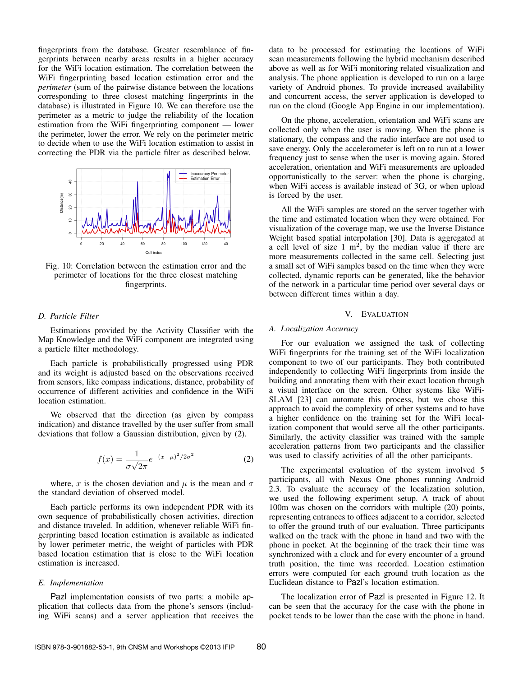fingerprints from the database. Greater resemblance of fingerprints between nearby areas results in a higher accuracy for the WiFi location estimation. The correlation between the WiFi fingerprinting based location estimation error and the *perimeter* (sum of the pairwise distance between the locations corresponding to three closest matching fingerprints in the database) is illustrated in Figure 10. We can therefore use the perimeter as a metric to judge the reliability of the location estimation from the WiFi fingerprinting component — lower the perimeter, lower the error. We rely on the perimeter metric to decide when to use the WiFi location estimation to assist in correcting the PDR via the particle filter as described below.



Fig. 10: Correlation between the estimation error and the perimeter of locations for the three closest matching fingerprints.

## *D. Particle Filter*

Estimations provided by the Activity Classifier with the Map Knowledge and the WiFi component are integrated using a particle filter methodology.

Each particle is probabilistically progressed using PDR and its weight is adjusted based on the observations received from sensors, like compass indications, distance, probability of occurrence of different activities and confidence in the WiFi location estimation.

We observed that the direction (as given by compass indication) and distance travelled by the user suffer from small deviations that follow a Gaussian distribution, given by (2).

$$
f(x) = \frac{1}{\sigma\sqrt{2\pi}}e^{-(x-\mu)^2/2\sigma^2}
$$
 (2)

where, x is the chosen deviation and  $\mu$  is the mean and  $\sigma$ the standard deviation of observed model.

Each particle performs its own independent PDR with its own sequence of probabilistically chosen activities, direction and distance traveled. In addition, whenever reliable WiFi fingerprinting based location estimation is available as indicated by lower perimeter metric, the weight of particles with PDR based location estimation that is close to the WiFi location estimation is increased.

## *E. Implementation*

Pazl implementation consists of two parts: a mobile application that collects data from the phone's sensors (including WiFi scans) and a server application that receives the data to be processed for estimating the locations of WiFi scan measurements following the hybrid mechanism described above as well as for WiFi monitoring related visualization and analysis. The phone application is developed to run on a large variety of Android phones. To provide increased availability and concurrent access, the server application is developed to run on the cloud (Google App Engine in our implementation).

On the phone, acceleration, orientation and WiFi scans are collected only when the user is moving. When the phone is stationary, the compass and the radio interface are not used to save energy. Only the accelerometer is left on to run at a lower frequency just to sense when the user is moving again. Stored acceleration, orientation and WiFi measurements are uploaded opportunistically to the server: when the phone is charging, when WiFi access is available instead of 3G, or when upload is forced by the user.

All the WiFi samples are stored on the server together with the time and estimated location when they were obtained. For visualization of the coverage map, we use the Inverse Distance Weight based spatial interpolation [30]. Data is aggregated at a cell level of size 1  $m^2$ , by the median value if there are more measurements collected in the same cell. Selecting just a small set of WiFi samples based on the time when they were collected, dynamic reports can be generated, like the behavior of the network in a particular time period over several days or between different times within a day.

## V. EVALUATION

#### *A. Localization Accuracy*

For our evaluation we assigned the task of collecting WiFi fingerprints for the training set of the WiFi localization component to two of our participants. They both contributed independently to collecting WiFi fingerprints from inside the building and annotating them with their exact location through a visual interface on the screen. Other systems like WiFi-SLAM [23] can automate this process, but we chose this approach to avoid the complexity of other systems and to have a higher confidence on the training set for the WiFi localization component that would serve all the other participants. Similarly, the activity classifier was trained with the sample acceleration patterns from two participants and the classifier was used to classify activities of all the other participants.

The experimental evaluation of the system involved 5 participants, all with Nexus One phones running Android 2.3. To evaluate the accuracy of the localization solution, we used the following experiment setup. A track of about 100m was chosen on the corridors with multiple (20) points, representing entrances to offices adjacent to a corridor, selected to offer the ground truth of our evaluation. Three participants walked on the track with the phone in hand and two with the phone in pocket. At the beginning of the track their time was synchronized with a clock and for every encounter of a ground truth position, the time was recorded. Location estimation errors were computed for each ground truth location as the Euclidean distance to Pazl's location estimation.

The localization error of Pazl is presented in Figure 12. It can be seen that the accuracy for the case with the phone in pocket tends to be lower than the case with the phone in hand.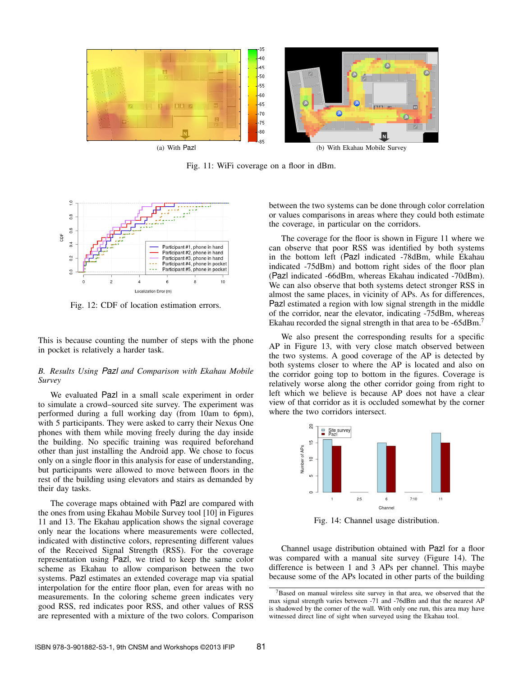

Fig. 11: WiFi coverage on a floor in dBm.



Fig. 12: CDF of location estimation errors.

This is because counting the number of steps with the phone in pocket is relatively a harder task.

# *B. Results Using Pazl and Comparison with Ekahau Mobile Survey*

We evaluated Pazl in a small scale experiment in order to simulate a crowd–sourced site survey. The experiment was performed during a full working day (from 10am to 6pm), with 5 participants. They were asked to carry their Nexus One phones with them while moving freely during the day inside the building. No specific training was required beforehand other than just installing the Android app. We chose to focus only on a single floor in this analysis for ease of understanding, but participants were allowed to move between floors in the rest of the building using elevators and stairs as demanded by their day tasks.

The coverage maps obtained with Pazl are compared with the ones from using Ekahau Mobile Survey tool [10] in Figures 11 and 13. The Ekahau application shows the signal coverage only near the locations where measurements were collected, indicated with distinctive colors, representing different values of the Received Signal Strength (RSS). For the coverage representation using Pazl, we tried to keep the same color scheme as Ekahau to allow comparison between the two systems. Pazl estimates an extended coverage map via spatial interpolation for the entire floor plan, even for areas with no measurements. In the coloring scheme green indicates very good RSS, red indicates poor RSS, and other values of RSS are represented with a mixture of the two colors. Comparison

between the two systems can be done through color correlation or values comparisons in areas where they could both estimate the coverage, in particular on the corridors.

The coverage for the floor is shown in Figure 11 where we can observe that poor RSS was identified by both systems in the bottom left (Pazl indicated -78dBm, while Ekahau indicated -75dBm) and bottom right sides of the floor plan (Pazl indicated -66dBm, whereas Ekahau indicated -70dBm). We can also observe that both systems detect stronger RSS in almost the same places, in vicinity of APs. As for differences, Pazl estimated a region with low signal strength in the middle of the corridor, near the elevator, indicating -75dBm, whereas Ekahau recorded the signal strength in that area to be -65dBm.<sup>7</sup>

We also present the corresponding results for a specific AP in Figure 13, with very close match observed between the two systems. A good coverage of the AP is detected by both systems closer to where the AP is located and also on the corridor going top to bottom in the figures. Coverage is relatively worse along the other corridor going from right to left which we believe is because AP does not have a clear view of that corridor as it is occluded somewhat by the corner where the two corridors intersect.



Fig. 14: Channel usage distribution.

Channel usage distribution obtained with Pazl for a floor was compared with a manual site survey (Figure 14). The difference is between 1 and 3 APs per channel. This maybe because some of the APs located in other parts of the building

<sup>&</sup>lt;sup>7</sup>Based on manual wireless site survey in that area, we observed that the max signal strength varies between -71 and -76dBm and that the nearest AP is shadowed by the corner of the wall. With only one run, this area may have witnessed direct line of sight when surveyed using the Ekahau tool.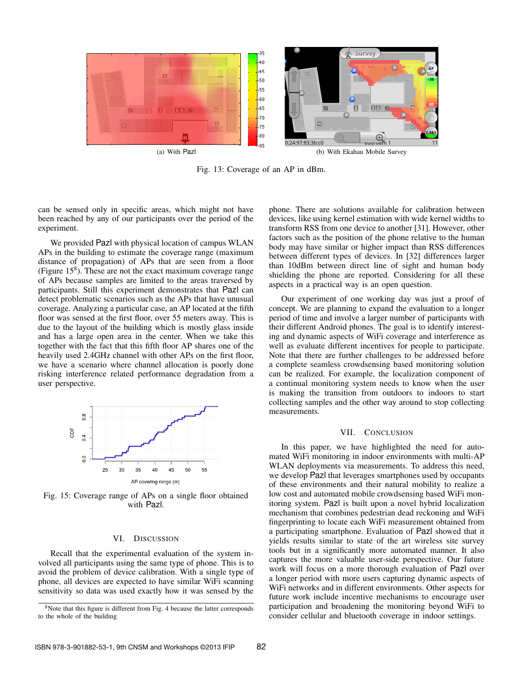

Fig. 13: Coverage of an AP in dBm.

can be sensed only in specific areas, which might not have been reached by any of our participants over the period of the experiment.

We provided **Paz**l with physical location of campus WLAN APs in the building to estimate the coverage range (maximum distance of propagation) of APs that are seen from a floor (Figure  $15<sup>8</sup>$ ). These are not the exact maximum coverage range of APs because samples are limited to the areas traversed by participants. Still this experiment demonstrates that Pazl can detect problematic scenarios such as the APs that have unusual coverage. Analyzing a particular case, an AP located at the fifth floor was sensed at the first floor, over 55 meters away. This is due to the layout of the building which is mostly glass inside and has a large open area in the center. When we take this together with the fact that this fifth floor AP shares one of the heavily used 2.4GHz channel with other APs on the first floor, we have a scenario where channel allocation is poorly done risking interference related performance degradation from a user perspective.



Fig. 15: Coverage range of APs on a single floor obtained with Pazl.

#### VI. DISCUSSION

Recall that the experimental evaluation of the system involved all participants using the same type of phone. This is to avoid the problem of device calibration. With a single type of phone, all devices are expected to have similar WiFi scanning sensitivity so data was used exactly how it was sensed by the phone. There are solutions available for calibration between devices, like using kernel estimation with wide kernel widths to transform RSS from one device to another [31]. However, other factors such as the position of the phone relative to the human body may have similar or higher impact than RSS differences between different types of devices. In [32] differences larger than 10dBm between direct line of sight and human body shielding the phone are reported. Considering for all these aspects in a practical way is an open question.

Our experiment of one working day was just a proof of concept. We are planning to expand the evaluation to a longer period of time and involve a larger number of participants with their different Android phones. The goal is to identify interesting and dynamic aspects of WiFi coverage and interference as well as evaluate different incentives for people to participate. Note that there are further challenges to be addressed before a complete seamless crowdsensing based monitoring solution can be realized. For example, the localization component of a continual monitoring system needs to know when the user is making the transition from outdoors to indoors to start collecting samples and the other way around to stop collecting measurements.

## VII. CONCLUSION

In this paper, we have highlighted the need for automated WiFi monitoring in indoor environments with multi-AP WLAN deployments via measurements. To address this need, we develop Pazl that leverages smartphones used by occupants of these environments and their natural mobility to realize a low cost and automated mobile crowdsensing based WiFi monitoring system. Pazl is built upon a novel hybrid localization mechanism that combines pedestrian dead reckoning and WiFi fingerprinting to locate each WiFi measurement obtained from a participating smartphone. Evaluation of Pazl showed that it yields results similar to state of the art wireless site survey tools but in a significantly more automated manner. It also captures the more valuable user-side perspective. Our future work will focus on a more thorough evaluation of Pazl over a longer period with more users capturing dynamic aspects of WiFi networks and in different environments. Other aspects for future work include incentive mechanisms to encourage user participation and broadening the monitoring beyond WiFi to consider cellular and bluetooth coverage in indoor settings.

<sup>&</sup>lt;sup>8</sup>Note that this figure is different from Fig. 4 because the latter corresponds to the whole of the building